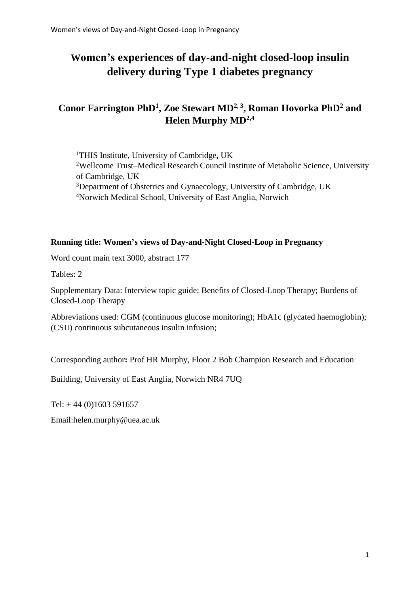# **Women's experiences of day-and-night closed-loop insulin delivery during Type 1 diabetes pregnancy**

## **Conor Farrington PhD<sup>1</sup> , Zoe Stewart MD2, 3 , Roman Hovorka PhD<sup>2</sup> and Helen Murphy MD2,4**

<sup>1</sup>THIS Institute, University of Cambridge, UK <sup>2</sup>Wellcome Trust–Medical Research Council Institute of Metabolic Science, University of Cambridge, UK <sup>3</sup>Department of Obstetrics and Gynaecology, University of Cambridge, UK <sup>4</sup>Norwich Medical School, University of East Anglia, Norwich

## **Running title: Women's views of Day-and-Night Closed-Loop in Pregnancy**

Word count main text 3000, abstract 177

Tables: 2

Supplementary Data: Interview topic guide; Benefits of Closed-Loop Therapy; Burdens of Closed-Loop Therapy

Abbreviations used: CGM (continuous glucose monitoring); HbA1c (glycated haemoglobin); (CSII) continuous subcutaneous insulin infusion;

Corresponding author**:** Prof HR Murphy, Floor 2 Bob Champion Research and Education

Building, University of East Anglia, Norwich NR4 7UQ

Tel:  $+44(0)1603591657$ 

Email:helen.murphy@uea.ac.uk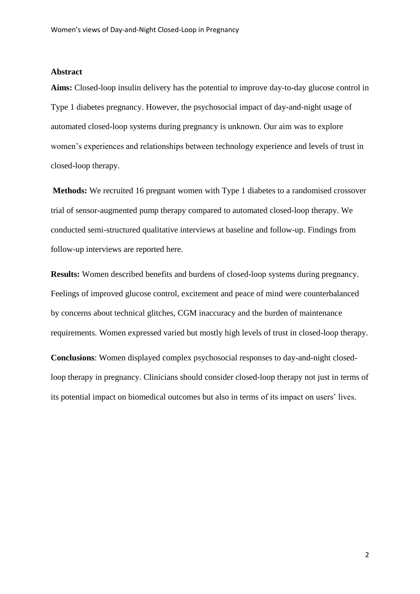#### **Abstract**

**Aims:** Closed-loop insulin delivery has the potential to improve day-to-day glucose control in Type 1 diabetes pregnancy. However, the psychosocial impact of day-and-night usage of automated closed-loop systems during pregnancy is unknown. Our aim was to explore women's experiences and relationships between technology experience and levels of trust in closed-loop therapy.

**Methods:** We recruited 16 pregnant women with Type 1 diabetes to a randomised crossover trial of sensor-augmented pump therapy compared to automated closed-loop therapy. We conducted semi-structured qualitative interviews at baseline and follow-up. Findings from follow-up interviews are reported here.

**Results:** Women described benefits and burdens of closed-loop systems during pregnancy. Feelings of improved glucose control, excitement and peace of mind were counterbalanced by concerns about technical glitches, CGM inaccuracy and the burden of maintenance requirements. Women expressed varied but mostly high levels of trust in closed-loop therapy.

**Conclusions**: Women displayed complex psychosocial responses to day-and-night closedloop therapy in pregnancy. Clinicians should consider closed-loop therapy not just in terms of its potential impact on biomedical outcomes but also in terms of its impact on users' lives.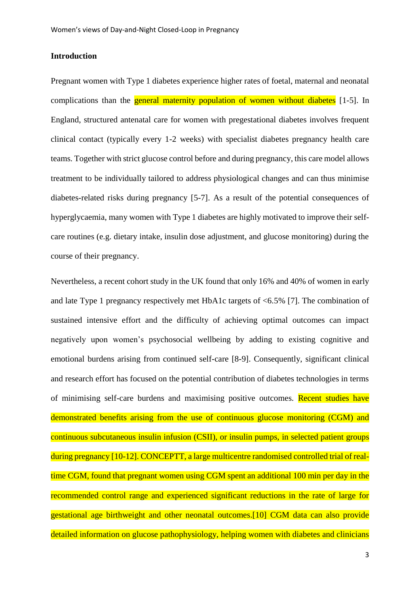## **Introduction**

Pregnant women with Type 1 diabetes experience higher rates of foetal, maternal and neonatal complications than the **general maternity population of women without diabetes** [1-5]. In England, structured antenatal care for women with pregestational diabetes involves frequent clinical contact (typically every 1-2 weeks) with specialist diabetes pregnancy health care teams. Together with strict glucose control before and during pregnancy, this care model allows treatment to be individually tailored to address physiological changes and can thus minimise diabetes-related risks during pregnancy [5-7]. As a result of the potential consequences of hyperglycaemia, many women with Type 1 diabetes are highly motivated to improve their selfcare routines (e.g. dietary intake, insulin dose adjustment, and glucose monitoring) during the course of their pregnancy.

Nevertheless, a recent cohort study in the UK found that only 16% and 40% of women in early and late Type 1 pregnancy respectively met HbA1c targets of <6.5% [7]. The combination of sustained intensive effort and the difficulty of achieving optimal outcomes can impact negatively upon women's psychosocial wellbeing by adding to existing cognitive and emotional burdens arising from continued self-care [8-9]. Consequently, significant clinical and research effort has focused on the potential contribution of diabetes technologies in terms of minimising self-care burdens and maximising positive outcomes. Recent studies have demonstrated benefits arising from the use of continuous glucose monitoring (CGM) and continuous subcutaneous insulin infusion (CSII), or insulin pumps, in selected patient groups during pregnancy [10-12]. CONCEPTT, a large multicentre randomised controlled trial of realtime CGM, found that pregnant women using CGM spent an additional 100 min per day in the recommended control range and experienced significant reductions in the rate of large for gestational age birthweight and other neonatal outcomes.[10] CGM data can also provide detailed information on glucose pathophysiology, helping women with diabetes and clinicians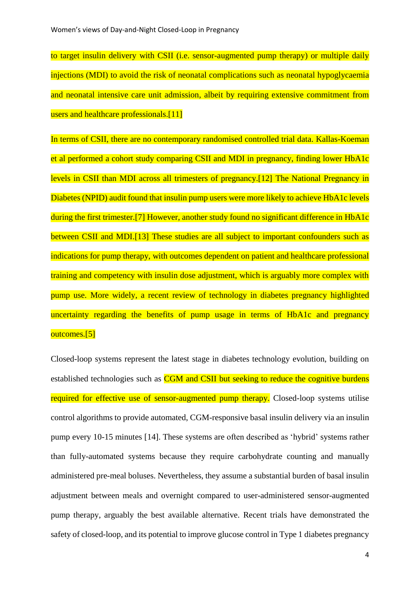to target insulin delivery with CSII (i.e. sensor-augmented pump therapy) or multiple daily injections (MDI) to avoid the risk of neonatal complications such as neonatal hypoglycaemia and neonatal intensive care unit admission, albeit by requiring extensive commitment from users and healthcare professionals.<sup>[11]</sup>

In terms of CSII, there are no contemporary randomised controlled trial data. Kallas-Koeman et al performed a cohort study comparing CSII and MDI in pregnancy, finding lower HbA1c levels in CSII than MDI across all trimesters of pregnancy.[12] The National Pregnancy in Diabetes (NPID) audit found that insulin pump users were more likely to achieve HbA1c levels during the first trimester.<sup>[7]</sup> However, another study found no significant difference in HbA1c between CSII and MDI.<sup>[13]</sup> These studies are all subject to important confounders such as indications for pump therapy, with outcomes dependent on patient and healthcare professional training and competency with insulin dose adjustment, which is arguably more complex with pump use. More widely, a recent review of technology in diabetes pregnancy highlighted uncertainty regarding the benefits of pump usage in terms of HbA1c and pregnancy outcomes.[5]

Closed-loop systems represent the latest stage in diabetes technology evolution, building on established technologies such as CGM and CSII but seeking to reduce the cognitive burdens required for effective use of sensor-augmented pump therapy. Closed-loop systems utilise control algorithms to provide automated, CGM-responsive basal insulin delivery via an insulin pump every 10-15 minutes [14]. These systems are often described as 'hybrid' systems rather than fully-automated systems because they require carbohydrate counting and manually administered pre-meal boluses. Nevertheless, they assume a substantial burden of basal insulin adjustment between meals and overnight compared to user-administered sensor-augmented pump therapy, arguably the best available alternative. Recent trials have demonstrated the safety of closed-loop, and its potential to improve glucose control in Type 1 diabetes pregnancy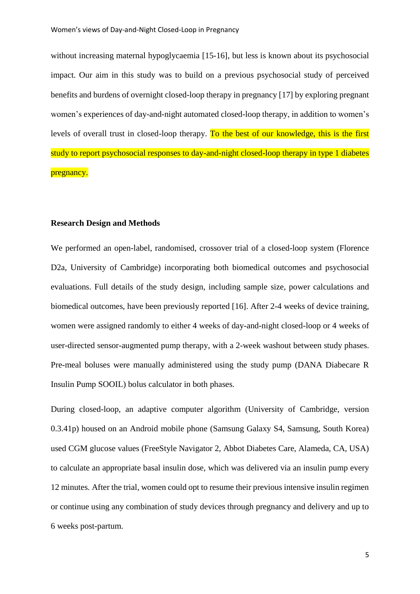without increasing maternal hypoglycaemia [15-16], but less is known about its psychosocial impact. Our aim in this study was to build on a previous psychosocial study of perceived benefits and burdens of overnight closed-loop therapy in pregnancy [17] by exploring pregnant women's experiences of day-and-night automated closed-loop therapy, in addition to women's levels of overall trust in closed-loop therapy. To the best of our knowledge, this is the first study to report psychosocial responses to day-and-night closed-loop therapy in type 1 diabetes pregnancy.

## **Research Design and Methods**

We performed an open-label, randomised, crossover trial of a closed-loop system (Florence D2a, University of Cambridge) incorporating both biomedical outcomes and psychosocial evaluations. Full details of the study design, including sample size, power calculations and biomedical outcomes, have been previously reported [16]. After 2-4 weeks of device training, women were assigned randomly to either 4 weeks of day-and-night closed-loop or 4 weeks of user-directed sensor-augmented pump therapy, with a 2-week washout between study phases. Pre-meal boluses were manually administered using the study pump (DANA Diabecare R Insulin Pump SOOIL) bolus calculator in both phases.

During closed-loop, an adaptive computer algorithm (University of Cambridge, version 0.3.41p) housed on an Android mobile phone (Samsung Galaxy S4, Samsung, South Korea) used CGM glucose values (FreeStyle Navigator 2, Abbot Diabetes Care, Alameda, CA, USA) to calculate an appropriate basal insulin dose, which was delivered via an insulin pump every 12 minutes. After the trial, women could opt to resume their previous intensive insulin regimen or continue using any combination of study devices through pregnancy and delivery and up to 6 weeks post-partum.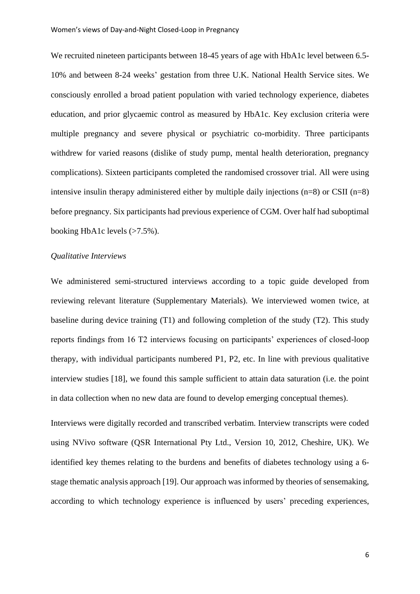We recruited nineteen participants between 18-45 years of age with HbA1c level between 6.5-10% and between 8-24 weeks' gestation from three U.K. National Health Service sites. We consciously enrolled a broad patient population with varied technology experience, diabetes education, and prior glycaemic control as measured by HbA1c. Key exclusion criteria were multiple pregnancy and severe physical or psychiatric co-morbidity. Three participants withdrew for varied reasons (dislike of study pump, mental health deterioration, pregnancy complications). Sixteen participants completed the randomised crossover trial. All were using intensive insulin therapy administered either by multiple daily injections (n=8) or CSII (n=8) before pregnancy. Six participants had previous experience of CGM. Over half had suboptimal booking HbA1c levels  $(>7.5\%)$ .

#### *Qualitative Interviews*

We administered semi-structured interviews according to a topic guide developed from reviewing relevant literature (Supplementary Materials). We interviewed women twice, at baseline during device training (T1) and following completion of the study (T2). This study reports findings from 16 T2 interviews focusing on participants' experiences of closed-loop therapy, with individual participants numbered P1, P2, etc. In line with previous qualitative interview studies [18], we found this sample sufficient to attain data saturation (i.e. the point in data collection when no new data are found to develop emerging conceptual themes).

Interviews were digitally recorded and transcribed verbatim. Interview transcripts were coded using NVivo software (QSR International Pty Ltd., Version 10, 2012, Cheshire, UK). We identified key themes relating to the burdens and benefits of diabetes technology using a 6 stage thematic analysis approach [19]. Our approach was informed by theories of sensemaking, according to which technology experience is influenced by users' preceding experiences,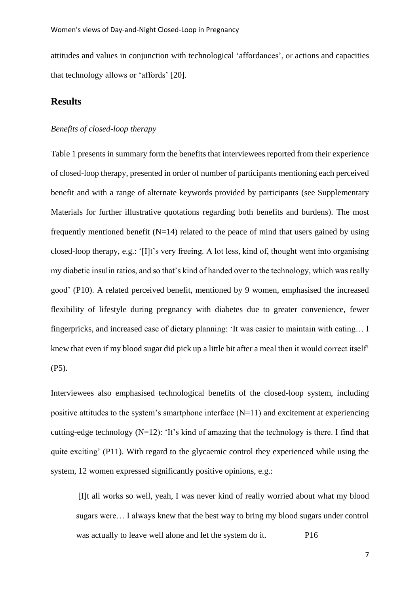attitudes and values in conjunction with technological 'affordances', or actions and capacities that technology allows or 'affords' [20].

## **Results**

## *Benefits of closed-loop therapy*

Table 1 presents in summary form the benefits that interviewees reported from their experience of closed-loop therapy, presented in order of number of participants mentioning each perceived benefit and with a range of alternate keywords provided by participants (see Supplementary Materials for further illustrative quotations regarding both benefits and burdens). The most frequently mentioned benefit  $(N=14)$  related to the peace of mind that users gained by using closed-loop therapy, e.g.: '[I]t's very freeing. A lot less, kind of, thought went into organising my diabetic insulin ratios, and so that's kind of handed over to the technology, which was really good' (P10). A related perceived benefit, mentioned by 9 women, emphasised the increased flexibility of lifestyle during pregnancy with diabetes due to greater convenience, fewer fingerpricks, and increased ease of dietary planning: 'It was easier to maintain with eating… I knew that even if my blood sugar did pick up a little bit after a meal then it would correct itself' (P5).

Interviewees also emphasised technological benefits of the closed-loop system, including positive attitudes to the system's smartphone interface  $(N=11)$  and excitement at experiencing cutting-edge technology (N=12): 'It's kind of amazing that the technology is there. I find that quite exciting' (P11). With regard to the glycaemic control they experienced while using the system, 12 women expressed significantly positive opinions, e.g.:

[I]t all works so well, yeah, I was never kind of really worried about what my blood sugars were… I always knew that the best way to bring my blood sugars under control was actually to leave well alone and let the system do it. P16

7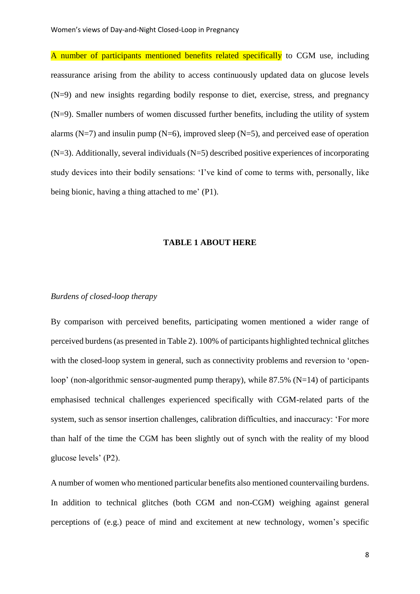A number of participants mentioned benefits related specifically to CGM use, including reassurance arising from the ability to access continuously updated data on glucose levels (N=9) and new insights regarding bodily response to diet, exercise, stress, and pregnancy (N=9). Smaller numbers of women discussed further benefits, including the utility of system alarms  $(N=7)$  and insulin pump  $(N=6)$ , improved sleep  $(N=5)$ , and perceived ease of operation  $(N=3)$ . Additionally, several individuals  $(N=5)$  described positive experiences of incorporating study devices into their bodily sensations: 'I've kind of come to terms with, personally, like being bionic, having a thing attached to me' (P1).

#### **TABLE 1 ABOUT HERE**

#### *Burdens of closed-loop therapy*

By comparison with perceived benefits, participating women mentioned a wider range of perceived burdens(as presented in Table 2). 100% of participants highlighted technical glitches with the closed-loop system in general, such as connectivity problems and reversion to 'openloop' (non-algorithmic sensor-augmented pump therapy), while  $87.5\%$  (N=14) of participants emphasised technical challenges experienced specifically with CGM-related parts of the system, such as sensor insertion challenges, calibration difficulties, and inaccuracy: 'For more than half of the time the CGM has been slightly out of synch with the reality of my blood glucose levels' (P2).

A number of women who mentioned particular benefits also mentioned countervailing burdens. In addition to technical glitches (both CGM and non-CGM) weighing against general perceptions of (e.g.) peace of mind and excitement at new technology, women's specific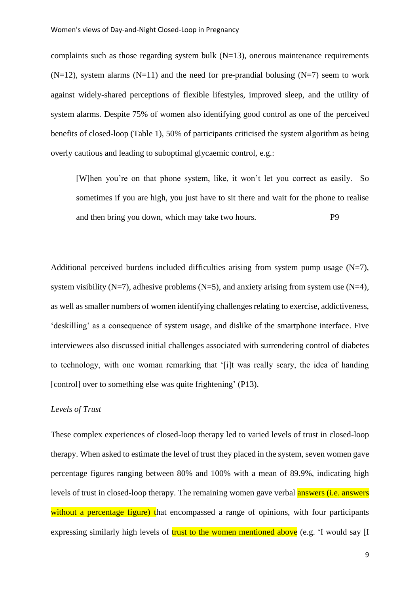complaints such as those regarding system bulk  $(N=13)$ , onerous maintenance requirements  $(N=12)$ , system alarms  $(N=11)$  and the need for pre-prandial bolusing  $(N=7)$  seem to work against widely-shared perceptions of flexible lifestyles, improved sleep, and the utility of system alarms. Despite 75% of women also identifying good control as one of the perceived benefits of closed-loop (Table 1), 50% of participants criticised the system algorithm as being overly cautious and leading to suboptimal glycaemic control, e.g.:

[W]hen you're on that phone system, like, it won't let you correct as easily. So sometimes if you are high, you just have to sit there and wait for the phone to realise and then bring you down, which may take two hours. P9

Additional perceived burdens included difficulties arising from system pump usage  $(N=7)$ , system visibility (N=7), adhesive problems (N=5), and anxiety arising from system use  $(N=4)$ , as well as smaller numbers of women identifying challenges relating to exercise, addictiveness, 'deskilling' as a consequence of system usage, and dislike of the smartphone interface. Five interviewees also discussed initial challenges associated with surrendering control of diabetes to technology, with one woman remarking that '[i]t was really scary, the idea of handing [control] over to something else was quite frightening' (P13).

#### *Levels of Trust*

These complex experiences of closed-loop therapy led to varied levels of trust in closed-loop therapy. When asked to estimate the level of trust they placed in the system, seven women gave percentage figures ranging between 80% and 100% with a mean of 89.9%, indicating high levels of trust in closed-loop therapy. The remaining women gave verbal **answers** (i.e. answers without a percentage figure) that encompassed a range of opinions, with four participants expressing similarly high levels of trust to the women mentioned above (e.g. 'I would say [I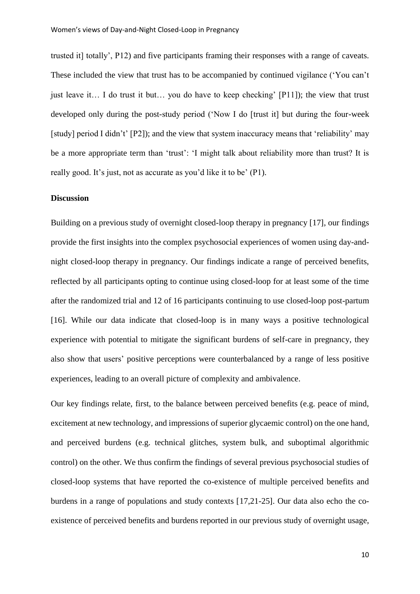trusted it] totally', P12) and five participants framing their responses with a range of caveats. These included the view that trust has to be accompanied by continued vigilance ('You can't just leave it… I do trust it but… you do have to keep checking' [P11]); the view that trust developed only during the post-study period ('Now I do [trust it] but during the four-week [study] period I didn't' [P2]); and the view that system inaccuracy means that 'reliability' may be a more appropriate term than 'trust': 'I might talk about reliability more than trust? It is really good. It's just, not as accurate as you'd like it to be' (P1).

#### **Discussion**

Building on a previous study of overnight closed-loop therapy in pregnancy [17], our findings provide the first insights into the complex psychosocial experiences of women using day-andnight closed-loop therapy in pregnancy. Our findings indicate a range of perceived benefits, reflected by all participants opting to continue using closed-loop for at least some of the time after the randomized trial and 12 of 16 participants continuing to use closed-loop post-partum [16]. While our data indicate that closed-loop is in many ways a positive technological experience with potential to mitigate the significant burdens of self-care in pregnancy, they also show that users' positive perceptions were counterbalanced by a range of less positive experiences, leading to an overall picture of complexity and ambivalence.

Our key findings relate, first, to the balance between perceived benefits (e.g. peace of mind, excitement at new technology, and impressions of superior glycaemic control) on the one hand, and perceived burdens (e.g. technical glitches, system bulk, and suboptimal algorithmic control) on the other. We thus confirm the findings of several previous psychosocial studies of closed-loop systems that have reported the co-existence of multiple perceived benefits and burdens in a range of populations and study contexts [17,21-25]. Our data also echo the coexistence of perceived benefits and burdens reported in our previous study of overnight usage,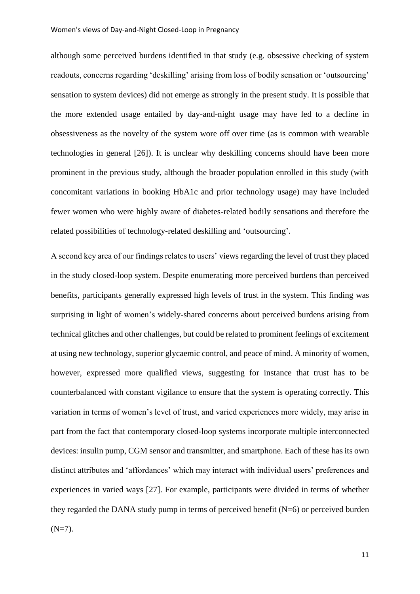although some perceived burdens identified in that study (e.g. obsessive checking of system readouts, concerns regarding 'deskilling' arising from loss of bodily sensation or 'outsourcing' sensation to system devices) did not emerge as strongly in the present study. It is possible that the more extended usage entailed by day-and-night usage may have led to a decline in obsessiveness as the novelty of the system wore off over time (as is common with wearable technologies in general [26]). It is unclear why deskilling concerns should have been more prominent in the previous study, although the broader population enrolled in this study (with concomitant variations in booking HbA1c and prior technology usage) may have included fewer women who were highly aware of diabetes-related bodily sensations and therefore the related possibilities of technology-related deskilling and 'outsourcing'.

A second key area of our findings relates to users' views regarding the level of trust they placed in the study closed-loop system. Despite enumerating more perceived burdens than perceived benefits, participants generally expressed high levels of trust in the system. This finding was surprising in light of women's widely-shared concerns about perceived burdens arising from technical glitches and other challenges, but could be related to prominent feelings of excitement at using new technology, superior glycaemic control, and peace of mind. A minority of women, however, expressed more qualified views, suggesting for instance that trust has to be counterbalanced with constant vigilance to ensure that the system is operating correctly. This variation in terms of women's level of trust, and varied experiences more widely, may arise in part from the fact that contemporary closed-loop systems incorporate multiple interconnected devices: insulin pump, CGM sensor and transmitter, and smartphone. Each of these has its own distinct attributes and 'affordances' which may interact with individual users' preferences and experiences in varied ways [27]. For example, participants were divided in terms of whether they regarded the DANA study pump in terms of perceived benefit  $(N=6)$  or perceived burden  $(N=7)$ .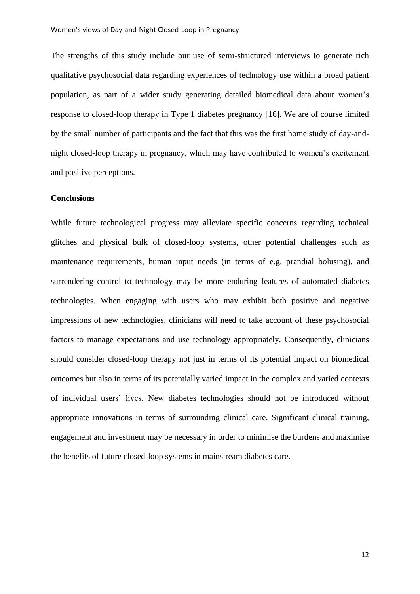The strengths of this study include our use of semi-structured interviews to generate rich qualitative psychosocial data regarding experiences of technology use within a broad patient population, as part of a wider study generating detailed biomedical data about women's response to closed-loop therapy in Type 1 diabetes pregnancy [16]. We are of course limited by the small number of participants and the fact that this was the first home study of day-andnight closed-loop therapy in pregnancy, which may have contributed to women's excitement and positive perceptions.

#### **Conclusions**

While future technological progress may alleviate specific concerns regarding technical glitches and physical bulk of closed-loop systems, other potential challenges such as maintenance requirements, human input needs (in terms of e.g. prandial bolusing), and surrendering control to technology may be more enduring features of automated diabetes technologies. When engaging with users who may exhibit both positive and negative impressions of new technologies, clinicians will need to take account of these psychosocial factors to manage expectations and use technology appropriately. Consequently, clinicians should consider closed-loop therapy not just in terms of its potential impact on biomedical outcomes but also in terms of its potentially varied impact in the complex and varied contexts of individual users' lives. New diabetes technologies should not be introduced without appropriate innovations in terms of surrounding clinical care. Significant clinical training, engagement and investment may be necessary in order to minimise the burdens and maximise the benefits of future closed-loop systems in mainstream diabetes care.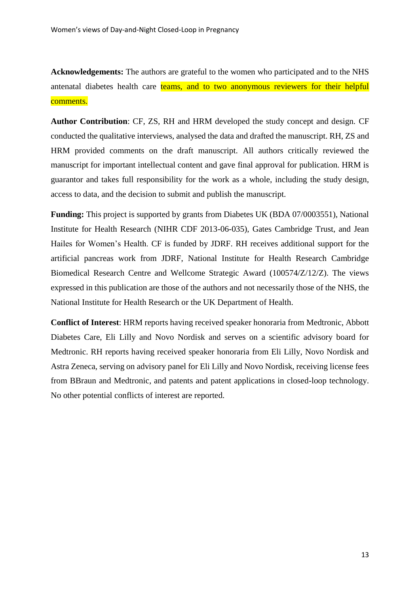**Acknowledgements:** The authors are grateful to the women who participated and to the NHS antenatal diabetes health care teams, and to two anonymous reviewers for their helpful comments.

**Author Contribution**: CF, ZS, RH and HRM developed the study concept and design. CF conducted the qualitative interviews, analysed the data and drafted the manuscript. RH, ZS and HRM provided comments on the draft manuscript. All authors critically reviewed the manuscript for important intellectual content and gave final approval for publication. HRM is guarantor and takes full responsibility for the work as a whole, including the study design, access to data, and the decision to submit and publish the manuscript.

**Funding:** This project is supported by grants from Diabetes UK (BDA 07/0003551), National Institute for Health Research (NIHR CDF 2013-06-035), Gates Cambridge Trust, and Jean Hailes for Women's Health. CF is funded by JDRF. RH receives additional support for the artificial pancreas work from JDRF, National Institute for Health Research Cambridge Biomedical Research Centre and Wellcome Strategic Award (100574/Z/12/Z). The views expressed in this publication are those of the authors and not necessarily those of the NHS, the National Institute for Health Research or the UK Department of Health.

**Conflict of Interest**: HRM reports having received speaker honoraria from Medtronic, Abbott Diabetes Care, Eli Lilly and Novo Nordisk and serves on a scientific advisory board for Medtronic. RH reports having received speaker honoraria from Eli Lilly, Novo Nordisk and Astra Zeneca, serving on advisory panel for Eli Lilly and Novo Nordisk, receiving license fees from BBraun and Medtronic, and patents and patent applications in closed-loop technology. No other potential conflicts of interest are reported.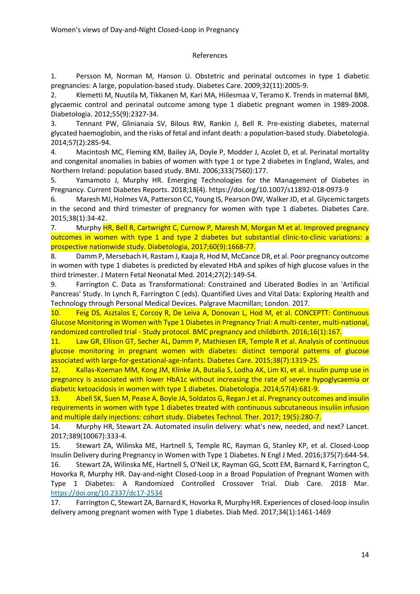#### References

1. Persson M, Norman M, Hanson U. Obstetric and perinatal outcomes in type 1 diabetic pregnancies: A large, population-based study. Diabetes Care. 2009;32(11):2005-9.

2. Klemetti M, Nuutila M, Tikkanen M, Kari MA, Hiilesmaa V, Teramo K. Trends in maternal BMI, glycaemic control and perinatal outcome among type 1 diabetic pregnant women in 1989-2008. Diabetologia. 2012;55(9):2327-34.

3. Tennant PW, Glinianaia SV, Bilous RW, Rankin J, Bell R. Pre-existing diabetes, maternal glycated haemoglobin, and the risks of fetal and infant death: a population-based study. Diabetologia. 2014;57(2):285-94.

4. Macintosh MC, Fleming KM, Bailey JA, Doyle P, Modder J, Acolet D, et al. Perinatal mortality and congenital anomalies in babies of women with type 1 or type 2 diabetes in England, Wales, and Northern Ireland: population based study. BMJ. 2006;333(7560):177.

5. Yamamoto J, Murphy HR. Emerging Technologies for the Management of Diabetes in Pregnancy. Current Diabetes Reports. 2018;18(4). https://doi.org/10.1007/s11892-018-0973-9

6. Maresh MJ, Holmes VA, Patterson CC, Young IS, Pearson DW, Walker JD, et al. Glycemic targets in the second and third trimester of pregnancy for women with type 1 diabetes. Diabetes Care. 2015;38(1):34-42.

7. Murphy HR, Bell R, Cartwright C, Curnow P, Maresh M, Morgan M et al. Improved pregnancy outcomes in women with type 1 and type 2 diabetes but substantial clinic-to-clinic variations: a prospective nationwide study. Diabetologia, 2017;60(9):1668-77.

8. Damm P, Mersebach H, Rastam J, Kaaja R, Hod M, McCance DR, et al. Poor pregnancy outcome in women with type 1 diabetes is predicted by elevated HbA and spikes of high glucose values in the third trimester. J Matern Fetal Neonatal Med. 2014;27(2):149-54.

9. Farrington C. Data as Transformational: Constrained and Liberated Bodies in an 'Artificial Pancreas' Study. In Lynch R, Farrington C (eds). Quantified Lives and Vital Data: Exploring Health and Technology through Personal Medical Devices. Palgrave Macmillan; London. 2017.

10. Feig DS, Asztalos E, Corcoy R, De Leiva A, Donovan L, Hod M, et al. CONCEPTT: Continuous Glucose Monitoring in Women with Type 1 Diabetes in Pregnancy Trial: A multi-center, multi-national, randomized controlled trial - Study protocol. BMC pregnancy and childbirth. 2016;16(1):167.

11. Law GR, Ellison GT, Secher AL, Damm P, Mathiesen ER, Temple R et al. Analysis of continuous glucose monitoring in pregnant women with diabetes: distinct temporal patterns of glucose associated with large-for-gestational-age-infants. Diabetes Care. 2015;38(7):1319-25.

12. Kallas-Koeman MM, Kong JM, Klinke JA, Butalia S, Lodha AK, Lim KI, et al. Insulin pump use in pregnancy is associated with lower HbA1c without increasing the rate of severe hypoglycaemia or diabetic ketoacidosis in women with type 1 diabetes. Diabetologia. 2014;57(4):681-9.

13. Abell SK, Suen M, Pease A, Boyle JA, Soldatos G, Regan J et al. Pregnancy outcomes and insulin requirements in women with type 1 diabetes treated with continuous subcutaneous insuliin infusion and multiple daily injections: cohort study. Diabetes Technol. Ther. 2017; 19(5):280-7.

14. Murphy HR, Stewart ZA. Automated insulin delivery: what's new, needed, and next? Lancet. 2017;389(10067):333-4.

15. Stewart ZA, Wilinska ME, Hartnell S, Temple RC, Rayman G, Stanley KP, et al. Closed-Loop Insulin Delivery during Pregnancy in Women with Type 1 Diabetes. N Engl J Med. 2016;375(7):644-54. 16. Stewart ZA, Wilinska ME, Hartnell S, O'Neil LK, Rayman GG, Scott EM, Barnard K, Farrington C, Hovorka R, Murphy HR. Day-and-night Closed-Loop in a Broad Population of Pregnant Women with Type 1 Diabetes: A Randomized Controlled Crossover Trial. Diab Care. 2018 Mar. <https://doi.org/10.2337/dc17-2534>

17. Farrington C, Stewart ZA, Barnard K, Hovorka R, Murphy HR. Experiences of closed-loop insulin delivery among pregnant women with Type 1 diabetes. Diab Med. 2017;34(1):1461-1469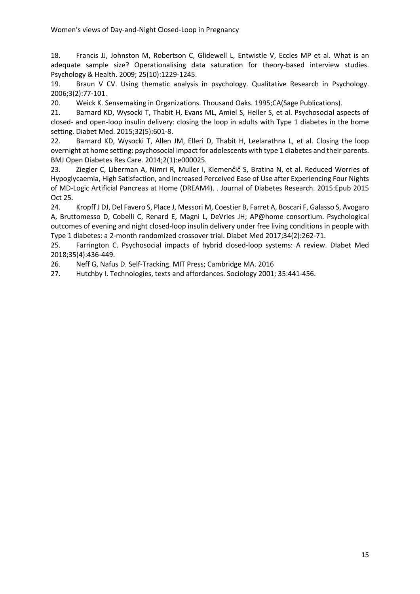18. Francis JJ, Johnston M, Robertson C, Glidewell L, Entwistle V, Eccles MP et al. What is an adequate sample size? Operationalising data saturation for theory-based interview studies. Psychology & Health. 2009; 25(10):1229-1245.

19. Braun V CV. Using thematic analysis in psychology. Qualitative Research in Psychology. 2006;3(2):77-101.

20. Weick K. Sensemaking in Organizations. Thousand Oaks. 1995;CA(Sage Publications).

21. Barnard KD, Wysocki T, Thabit H, Evans ML, Amiel S, Heller S, et al. Psychosocial aspects of closed- and open-loop insulin delivery: closing the loop in adults with Type 1 diabetes in the home setting. Diabet Med. 2015;32(5):601-8.

22. Barnard KD, Wysocki T, Allen JM, Elleri D, Thabit H, Leelarathna L, et al. Closing the loop overnight at home setting: psychosocial impact for adolescents with type 1 diabetes and their parents. BMJ Open Diabetes Res Care. 2014;2(1):e000025.

23. Ziegler C, Liberman A, Nimri R, Muller I, Klemenčič S, Bratina N, et al. Reduced Worries of Hypoglycaemia, High Satisfaction, and Increased Perceived Ease of Use after Experiencing Four Nights of MD-Logic Artificial Pancreas at Home (DREAM4). . Journal of Diabetes Research. 2015:Epub 2015 Oct 25.

24. Kropff J DJ, Del Favero S, Place J, Messori M, Coestier B, Farret A, Boscari F, Galasso S, Avogaro A, Bruttomesso D, Cobelli C, Renard E, Magni L, DeVries JH; AP@home consortium. Psychological outcomes of evening and night closed-loop insulin delivery under free living conditions in people with Type 1 diabetes: a 2-month randomized crossover trial. Diabet Med 2017;34(2):262-71.

25. Farrington C. Psychosocial impacts of hybrid closed-loop systems: A review. DIabet Med 2018;35(4):436-449.

26. Neff G, Nafus D. Self-Tracking. MIT Press; Cambridge MA. 2016

27. Hutchby I. Technologies, texts and affordances. Sociology 2001; 35:441-456.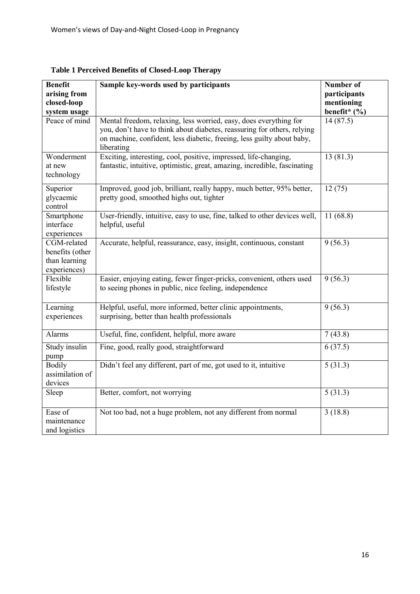| <b>Benefit</b><br>arising from<br>closed-loop<br>system usage   | Sample key-words used by participants                                                                                                                                                                                                | <b>Number of</b><br>participants<br>mentioning<br>benefit* $($ %) |
|-----------------------------------------------------------------|--------------------------------------------------------------------------------------------------------------------------------------------------------------------------------------------------------------------------------------|-------------------------------------------------------------------|
| Peace of mind                                                   | Mental freedom, relaxing, less worried, easy, does everything for<br>you, don't have to think about diabetes, reassuring for others, relying<br>on machine, confident, less diabetic, freeing, less guilty about baby,<br>liberating | 14(87.5)                                                          |
| Wonderment<br>at new<br>technology                              | Exciting, interesting, cool, positive, impressed, life-changing,<br>fantastic, intuitive, optimistic, great, amazing, incredible, fascinating                                                                                        | 13(81.3)                                                          |
| Superior<br>glycaemic<br>control                                | Improved, good job, brilliant, really happy, much better, 95% better,<br>pretty good, smoothed highs out, tighter                                                                                                                    | 12(75)                                                            |
| Smartphone<br>interface<br>experiences                          | User-friendly, intuitive, easy to use, fine, talked to other devices well,<br>helpful, useful                                                                                                                                        | 11(68.8)                                                          |
| CGM-related<br>benefits (other<br>than learning<br>experiences) | Accurate, helpful, reassurance, easy, insight, continuous, constant                                                                                                                                                                  | 9(56.3)                                                           |
| Flexible<br>lifestyle                                           | Easier, enjoying eating, fewer finger-pricks, convenient, others used<br>to seeing phones in public, nice feeling, independence                                                                                                      | 9(56.3)                                                           |
| Learning<br>experiences                                         | Helpful, useful, more informed, better clinic appointments,<br>surprising, better than health professionals                                                                                                                          | 9(56.3)                                                           |
| Alarms                                                          | Useful, fine, confident, helpful, more aware                                                                                                                                                                                         | 7(43.8)                                                           |
| Study insulin<br>pump                                           | Fine, good, really good, straightforward                                                                                                                                                                                             | 6(37.5)                                                           |
| Bodily<br>assimilation of<br>devices                            | Didn't feel any different, part of me, got used to it, intuitive                                                                                                                                                                     | 5(31.3)                                                           |
| Sleep                                                           | Better, comfort, not worrying                                                                                                                                                                                                        | 5(31.3)                                                           |
| Ease of<br>maintenance<br>and logistics                         | Not too bad, not a huge problem, not any different from normal                                                                                                                                                                       | 3(18.8)                                                           |

**Table 1 Perceived Benefits of Closed-Loop Therapy**